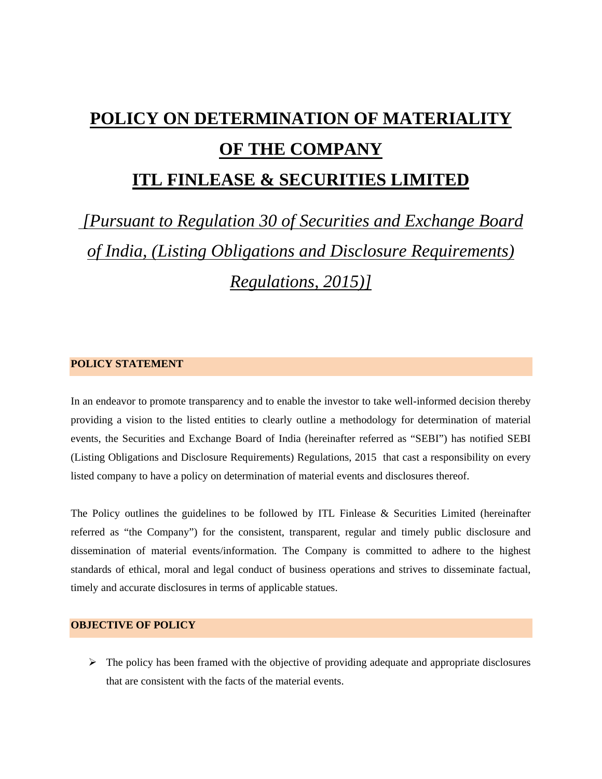# **POLICY ON DETERMINATION OF MATERIALITY OF THE COMPANY**

# **ITL FINLEASE & SECURITIES LIMITED**

 *[Pursuant to Regulation 30 of Securities and Exchange Board of India, (Listing Obligations and Disclosure Requirements) Regulations, 2015)]* 

# **POLICY STATEMENT**

In an endeavor to promote transparency and to enable the investor to take well-informed decision thereby providing a vision to the listed entities to clearly outline a methodology for determination of material events, the Securities and Exchange Board of India (hereinafter referred as "SEBI") has notified SEBI (Listing Obligations and Disclosure Requirements) Regulations, 2015 that cast a responsibility on every listed company to have a policy on determination of material events and disclosures thereof.

The Policy outlines the guidelines to be followed by ITL Finlease & Securities Limited (hereinafter referred as "the Company") for the consistent, transparent, regular and timely public disclosure and dissemination of material events/information. The Company is committed to adhere to the highest standards of ethical, moral and legal conduct of business operations and strives to disseminate factual, timely and accurate disclosures in terms of applicable statues.

# **OBJECTIVE OF POLICY**

 $\triangleright$  The policy has been framed with the objective of providing adequate and appropriate disclosures that are consistent with the facts of the material events.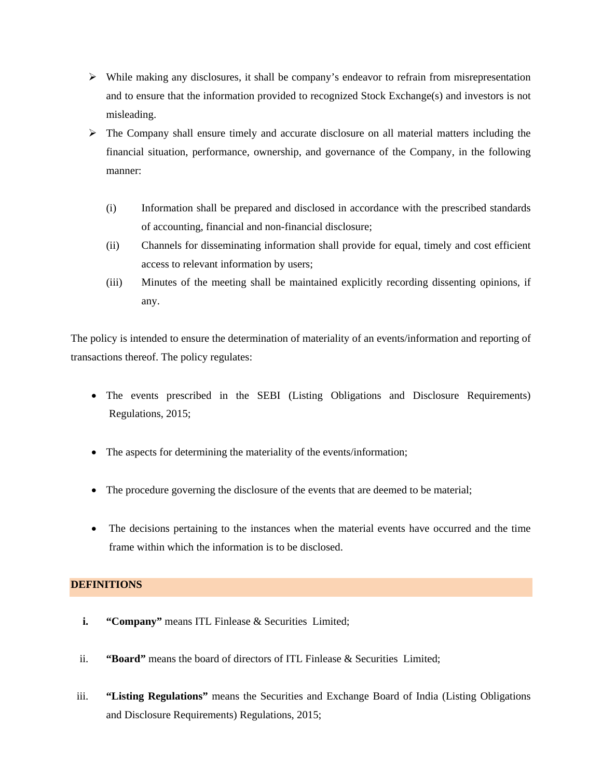- $\triangleright$  While making any disclosures, it shall be company's endeavor to refrain from misrepresentation and to ensure that the information provided to recognized Stock Exchange(s) and investors is not misleading.
- $\triangleright$  The Company shall ensure timely and accurate disclosure on all material matters including the financial situation, performance, ownership, and governance of the Company, in the following manner:
	- (i) Information shall be prepared and disclosed in accordance with the prescribed standards of accounting, financial and non-financial disclosure;
	- (ii) Channels for disseminating information shall provide for equal, timely and cost efficient access to relevant information by users;
	- (iii) Minutes of the meeting shall be maintained explicitly recording dissenting opinions, if any.

The policy is intended to ensure the determination of materiality of an events/information and reporting of transactions thereof. The policy regulates:

- The events prescribed in the SEBI (Listing Obligations and Disclosure Requirements) Regulations, 2015;
- The aspects for determining the materiality of the events/information;
- The procedure governing the disclosure of the events that are deemed to be material;
- The decisions pertaining to the instances when the material events have occurred and the time frame within which the information is to be disclosed.

# **DEFINITIONS**

- **i. "Company"** means ITL Finlease & Securities Limited;
- ii. **"Board"** means the board of directors of ITL Finlease & Securities Limited;
- iii. **"Listing Regulations"** means the Securities and Exchange Board of India (Listing Obligations and Disclosure Requirements) Regulations, 2015;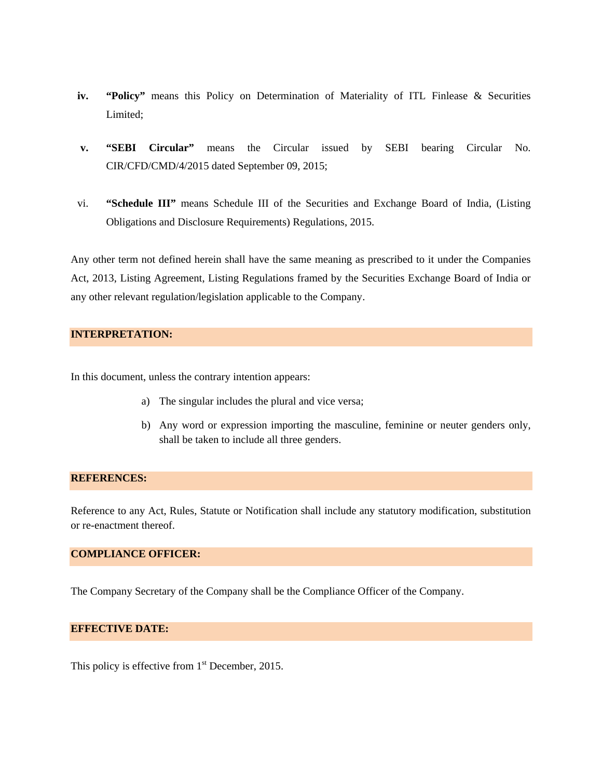- **iv. "Policy"** means this Policy on Determination of Materiality of ITL Finlease & Securities Limited;
- **v. "SEBI Circular"** means the Circular issued by SEBI bearing Circular No. CIR/CFD/CMD/4/2015 dated September 09, 2015;
- vi. **"Schedule III"** means Schedule III of the Securities and Exchange Board of India, (Listing Obligations and Disclosure Requirements) Regulations, 2015.

Any other term not defined herein shall have the same meaning as prescribed to it under the Companies Act, 2013, Listing Agreement, Listing Regulations framed by the Securities Exchange Board of India or any other relevant regulation/legislation applicable to the Company.

# **INTERPRETATION:**

In this document, unless the contrary intention appears:

- a) The singular includes the plural and vice versa;
- b) Any word or expression importing the masculine, feminine or neuter genders only, shall be taken to include all three genders.

#### **REFERENCES:**

Reference to any Act, Rules, Statute or Notification shall include any statutory modification, substitution or re-enactment thereof.

## **COMPLIANCE OFFICER:**

The Company Secretary of the Company shall be the Compliance Officer of the Company.

# **EFFECTIVE DATE:**

This policy is effective from  $1<sup>st</sup>$  December, 2015.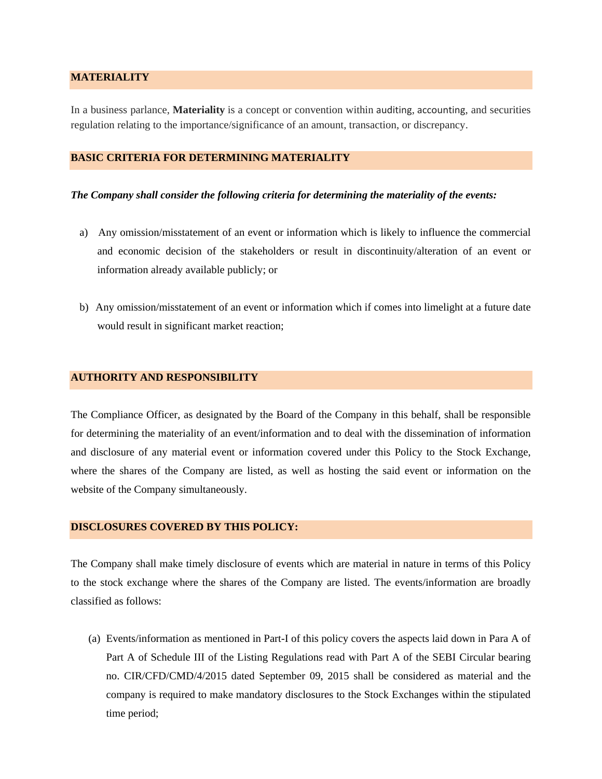# **MATERIALITY**

In a business parlance, **Materiality** is a concept or convention within auditing, accounting, and securities regulation relating to the importance/significance of an amount, transaction, or discrepancy.

# **BASIC CRITERIA FOR DETERMINING MATERIALITY**

#### *The Company shall consider the following criteria for determining the materiality of the events:*

- a) Any omission/misstatement of an event or information which is likely to influence the commercial and economic decision of the stakeholders or result in discontinuity/alteration of an event or information already available publicly; or
- b) Any omission/misstatement of an event or information which if comes into limelight at a future date would result in significant market reaction;

#### **AUTHORITY AND RESPONSIBILITY**

The Compliance Officer, as designated by the Board of the Company in this behalf, shall be responsible for determining the materiality of an event/information and to deal with the dissemination of information and disclosure of any material event or information covered under this Policy to the Stock Exchange, where the shares of the Company are listed, as well as hosting the said event or information on the website of the Company simultaneously.

### **DISCLOSURES COVERED BY THIS POLICY:**

The Company shall make timely disclosure of events which are material in nature in terms of this Policy to the stock exchange where the shares of the Company are listed. The events/information are broadly classified as follows:

(a) Events/information as mentioned in Part-I of this policy covers the aspects laid down in Para A of Part A of Schedule III of the Listing Regulations read with Part A of the SEBI Circular bearing no. CIR/CFD/CMD/4/2015 dated September 09, 2015 shall be considered as material and the company is required to make mandatory disclosures to the Stock Exchanges within the stipulated time period;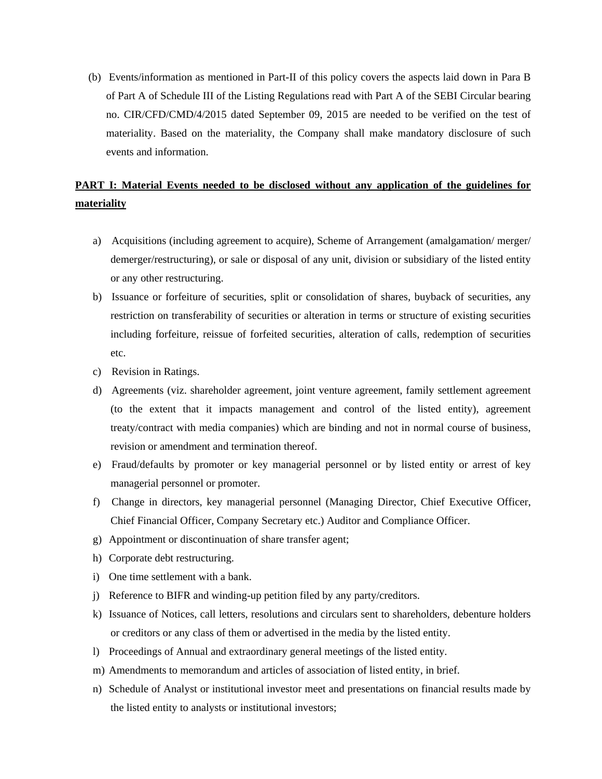(b) Events/information as mentioned in Part-II of this policy covers the aspects laid down in Para B of Part A of Schedule III of the Listing Regulations read with Part A of the SEBI Circular bearing no. CIR/CFD/CMD/4/2015 dated September 09, 2015 are needed to be verified on the test of materiality. Based on the materiality, the Company shall make mandatory disclosure of such events and information.

# **PART I: Material Events needed to be disclosed without any application of the guidelines for materiality**

- a) Acquisitions (including agreement to acquire), Scheme of Arrangement (amalgamation/ merger/ demerger/restructuring), or sale or disposal of any unit, division or subsidiary of the listed entity or any other restructuring.
- b) Issuance or forfeiture of securities, split or consolidation of shares, buyback of securities, any restriction on transferability of securities or alteration in terms or structure of existing securities including forfeiture, reissue of forfeited securities, alteration of calls, redemption of securities etc.
- c) Revision in Ratings.
- d) Agreements (viz. shareholder agreement, joint venture agreement, family settlement agreement (to the extent that it impacts management and control of the listed entity), agreement treaty/contract with media companies) which are binding and not in normal course of business, revision or amendment and termination thereof.
- e) Fraud/defaults by promoter or key managerial personnel or by listed entity or arrest of key managerial personnel or promoter.
- f) Change in directors, key managerial personnel (Managing Director, Chief Executive Officer, Chief Financial Officer, Company Secretary etc.) Auditor and Compliance Officer.
- g) Appointment or discontinuation of share transfer agent;
- h) Corporate debt restructuring.
- i) One time settlement with a bank.
- j) Reference to BIFR and winding-up petition filed by any party/creditors.
- k) Issuance of Notices, call letters, resolutions and circulars sent to shareholders, debenture holders or creditors or any class of them or advertised in the media by the listed entity.
- l) Proceedings of Annual and extraordinary general meetings of the listed entity.
- m) Amendments to memorandum and articles of association of listed entity, in brief.
- n) Schedule of Analyst or institutional investor meet and presentations on financial results made by the listed entity to analysts or institutional investors;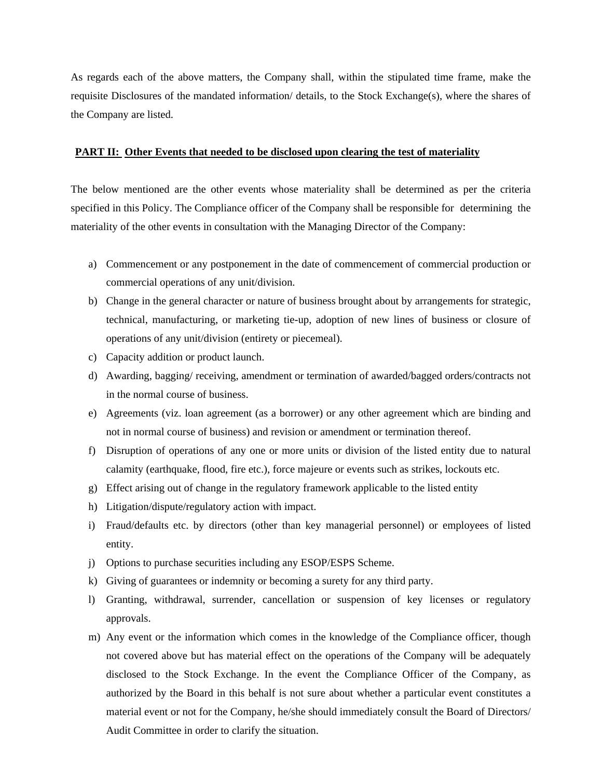As regards each of the above matters, the Company shall, within the stipulated time frame, make the requisite Disclosures of the mandated information/ details, to the Stock Exchange(s), where the shares of the Company are listed.

# **PART II: Other Events that needed to be disclosed upon clearing the test of materiality**

The below mentioned are the other events whose materiality shall be determined as per the criteria specified in this Policy. The Compliance officer of the Company shall be responsible for determining the materiality of the other events in consultation with the Managing Director of the Company:

- a) Commencement or any postponement in the date of commencement of commercial production or commercial operations of any unit/division.
- b) Change in the general character or nature of business brought about by arrangements for strategic, technical, manufacturing, or marketing tie-up, adoption of new lines of business or closure of operations of any unit/division (entirety or piecemeal).
- c) Capacity addition or product launch.
- d) Awarding, bagging/ receiving, amendment or termination of awarded/bagged orders/contracts not in the normal course of business.
- e) Agreements (viz. loan agreement (as a borrower) or any other agreement which are binding and not in normal course of business) and revision or amendment or termination thereof.
- f) Disruption of operations of any one or more units or division of the listed entity due to natural calamity (earthquake, flood, fire etc.), force majeure or events such as strikes, lockouts etc.
- g) Effect arising out of change in the regulatory framework applicable to the listed entity
- h) Litigation/dispute/regulatory action with impact.
- i) Fraud/defaults etc. by directors (other than key managerial personnel) or employees of listed entity.
- j) Options to purchase securities including any ESOP/ESPS Scheme.
- k) Giving of guarantees or indemnity or becoming a surety for any third party.
- l) Granting, withdrawal, surrender, cancellation or suspension of key licenses or regulatory approvals.
- m) Any event or the information which comes in the knowledge of the Compliance officer, though not covered above but has material effect on the operations of the Company will be adequately disclosed to the Stock Exchange. In the event the Compliance Officer of the Company, as authorized by the Board in this behalf is not sure about whether a particular event constitutes a material event or not for the Company, he/she should immediately consult the Board of Directors/ Audit Committee in order to clarify the situation.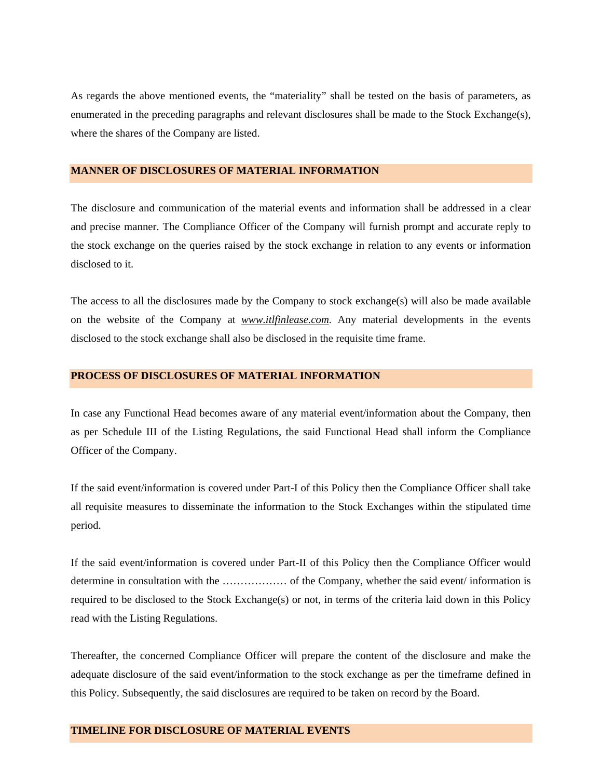As regards the above mentioned events, the "materiality" shall be tested on the basis of parameters, as enumerated in the preceding paragraphs and relevant disclosures shall be made to the Stock Exchange(s), where the shares of the Company are listed.

#### **MANNER OF DISCLOSURES OF MATERIAL INFORMATION**

The disclosure and communication of the material events and information shall be addressed in a clear and precise manner. The Compliance Officer of the Company will furnish prompt and accurate reply to the stock exchange on the queries raised by the stock exchange in relation to any events or information disclosed to it.

The access to all the disclosures made by the Company to stock exchange(s) will also be made available on the website of the Company at *www.itlfinlease.com*. Any material developments in the events disclosed to the stock exchange shall also be disclosed in the requisite time frame.

# **PROCESS OF DISCLOSURES OF MATERIAL INFORMATION**

In case any Functional Head becomes aware of any material event/information about the Company, then as per Schedule III of the Listing Regulations, the said Functional Head shall inform the Compliance Officer of the Company.

If the said event/information is covered under Part-I of this Policy then the Compliance Officer shall take all requisite measures to disseminate the information to the Stock Exchanges within the stipulated time period.

If the said event/information is covered under Part-II of this Policy then the Compliance Officer would determine in consultation with the ……………… of the Company, whether the said event/ information is required to be disclosed to the Stock Exchange(s) or not, in terms of the criteria laid down in this Policy read with the Listing Regulations.

Thereafter, the concerned Compliance Officer will prepare the content of the disclosure and make the adequate disclosure of the said event/information to the stock exchange as per the timeframe defined in this Policy. Subsequently, the said disclosures are required to be taken on record by the Board.

# **TIMELINE FOR DISCLOSURE OF MATERIAL EVENTS**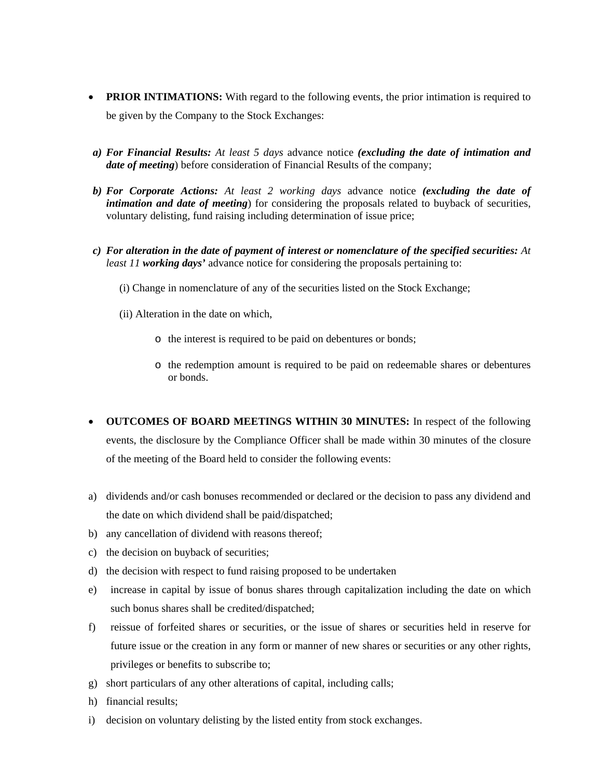- **PRIOR INTIMATIONS:** With regard to the following events, the prior intimation is required to be given by the Company to the Stock Exchanges:
- *a) For Financial Results: At least 5 days* advance notice *(excluding the date of intimation and date of meeting*) before consideration of Financial Results of the company;
- *b) For Corporate Actions: At least 2 working days* advance notice *(excluding the date of intimation and date of meeting*) for considering the proposals related to buyback of securities, voluntary delisting, fund raising including determination of issue price;
- *c) For alteration in the date of payment of interest or nomenclature of the specified securities: At least 11 working days'* advance notice for considering the proposals pertaining to:
	- (i) Change in nomenclature of any of the securities listed on the Stock Exchange;
	- (ii) Alteration in the date on which,
		- o the interest is required to be paid on debentures or bonds;
		- o the redemption amount is required to be paid on redeemable shares or debentures or bonds.
- **OUTCOMES OF BOARD MEETINGS WITHIN 30 MINUTES:** In respect of the following events, the disclosure by the Compliance Officer shall be made within 30 minutes of the closure of the meeting of the Board held to consider the following events:
- a) dividends and/or cash bonuses recommended or declared or the decision to pass any dividend and the date on which dividend shall be paid/dispatched;
- b) any cancellation of dividend with reasons thereof;
- c) the decision on buyback of securities;
- d) the decision with respect to fund raising proposed to be undertaken
- e) increase in capital by issue of bonus shares through capitalization including the date on which such bonus shares shall be credited/dispatched;
- f) reissue of forfeited shares or securities, or the issue of shares or securities held in reserve for future issue or the creation in any form or manner of new shares or securities or any other rights, privileges or benefits to subscribe to;
- g) short particulars of any other alterations of capital, including calls;
- h) financial results;
- i) decision on voluntary delisting by the listed entity from stock exchanges.